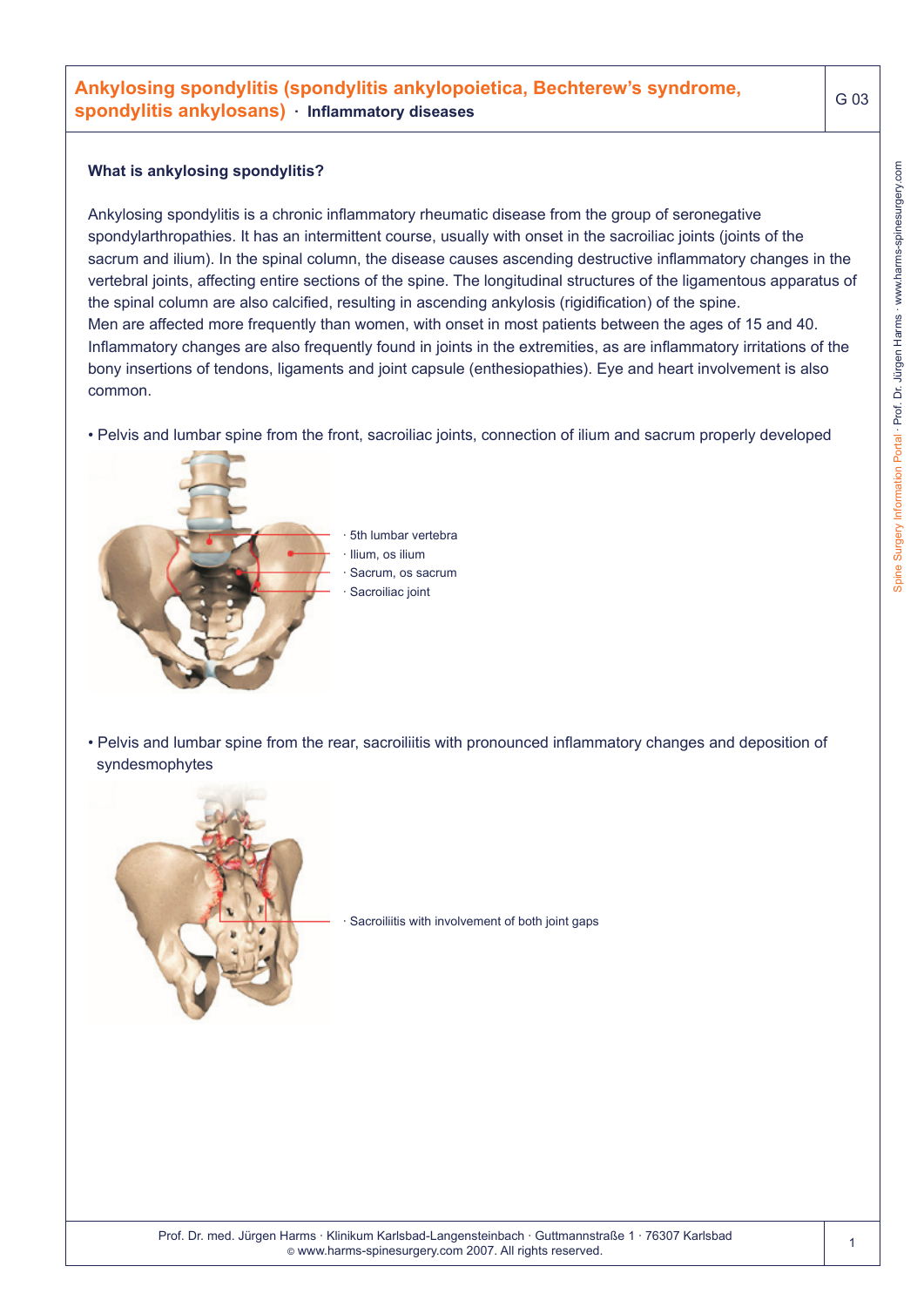#### **What is ankylosing spondylitis?**

Ankylosing spondylitis is a chronic inflammatory rheumatic disease from the group of seronegative spondylarthropathies. It has an intermittent course, usually with onset in the sacroiliac joints (joints of the sacrum and ilium). In the spinal column, the disease causes ascending destructive inflammatory changes in the vertebral joints, affecting entire sections of the spine. The longitudinal structures of the ligamentous apparatus of the spinal column are also calcified, resulting in ascending ankylosis (rigidification) of the spine. Men are affected more frequently than women, with onset in most patients between the ages of 15 and 40. Inflammatory changes are also frequently found in joints in the extremities, as are inflammatory irritations of the bony insertions of tendons, ligaments and joint capsule (enthesiopathies). Eye and heart involvement is also common.

• Pelvis and lumbar spine from the front, sacroiliac joints, connection of ilium and sacrum properly developed



• Pelvis and lumbar spine from the rear, sacroiliitis with pronounced inflammatory changes and deposition of syndesmophytes



Sacroiliitis with involvement of both joint gaps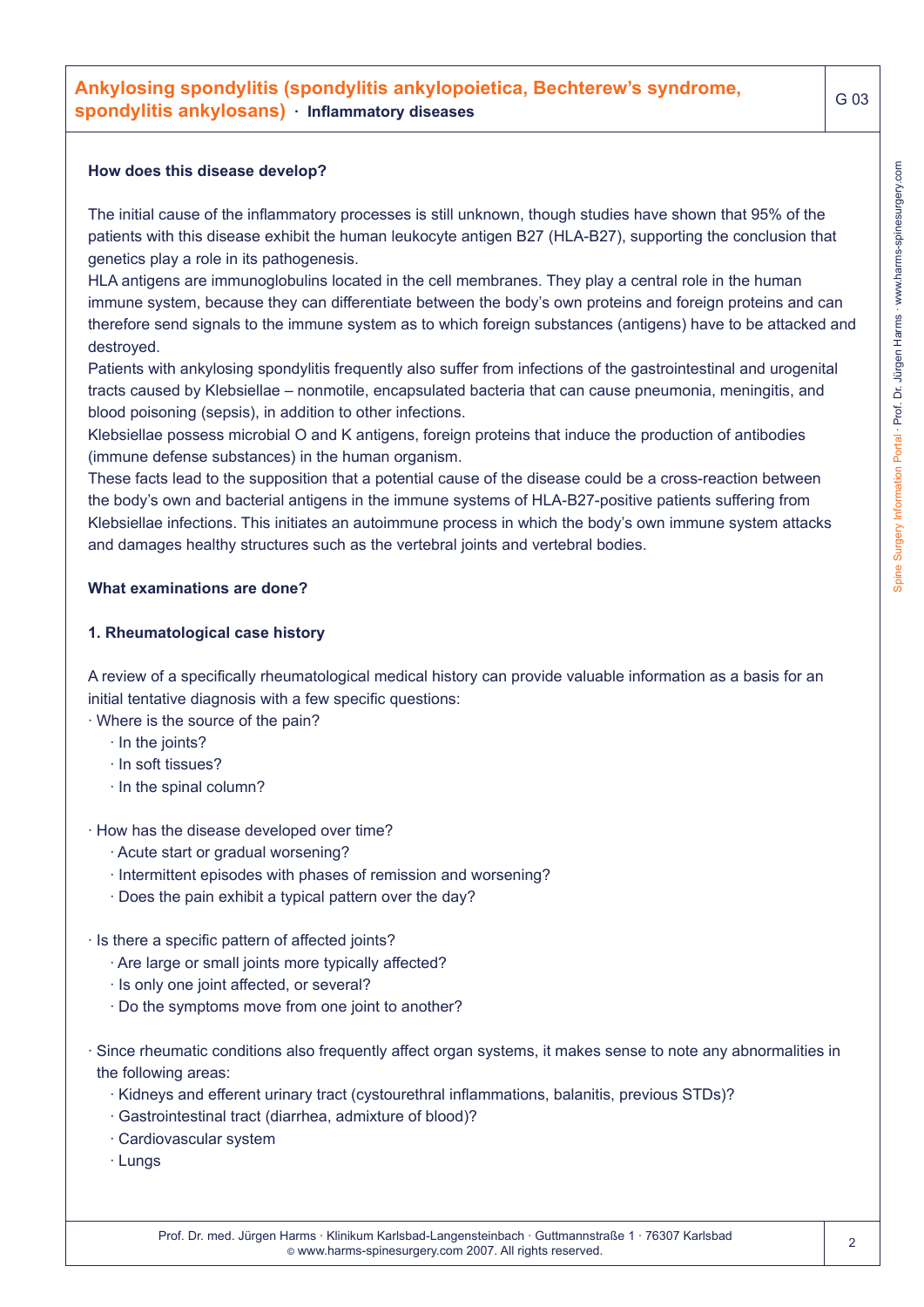# **Ankylosing spondylitis (spondylitis ankylopoietica, Bechterew's syndrome, spondylitis ankylosans) · Inflammatory diseases**

#### **How does this disease develop?**

The initial cause of the inflammatory processes is still unknown, though studies have shown that 95% of the patients with this disease exhibit the human leukocyte antigen B27 (HLA-B27), supporting the conclusion that genetics play a role in its pathogenesis.

HLA antigens are immunoglobulins located in the cell membranes. They play a central role in the human immune system, because they can differentiate between the body's own proteins and foreign proteins and can therefore send signals to the immune system as to which foreign substances (antigens) have to be attacked and destroyed.

Patients with ankylosing spondylitis frequently also suffer from infections of the gastrointestinal and urogenital tracts caused by Klebsiellae – nonmotile, encapsulated bacteria that can cause pneumonia, meningitis, and blood poisoning (sepsis), in addition to other infections.

Klebsiellae possess microbial O and K antigens, foreign proteins that induce the production of antibodies (immune defense substances) in the human organism.

These facts lead to the supposition that a potential cause of the disease could be a cross-reaction between the body's own and bacterial antigens in the immune systems of HLA-B27-positive patients suffering from Klebsiellae infections. This initiates an autoimmune process in which the body's own immune system attacks and damages healthy structures such as the vertebral joints and vertebral bodies.

#### **What examinations are done?**

#### **1. Rheumatological case history**

A review of a specifically rheumatological medical history can provide valuable information as a basis for an initial tentative diagnosis with a few specific questions:

· Where is the source of the pain?

- · In the joints?
- · In soft tissues?
- · In the spinal column?

· How has the disease developed over time?

- · Acute start or gradual worsening?
- · Intermittent episodes with phases of remission and worsening?
- · Does the pain exhibit a typical pattern over the day?

#### · Is there a specific pattern of affected joints?

- · Are large or small joints more typically affected?
- · Is only one joint affected, or several?
- · Do the symptoms move from one joint to another?
- · Since rheumatic conditions also frequently affect organ systems, it makes sense to note any abnormalities in the following areas:
	- · Kidneys and efferent urinary tract (cystourethral inflammations, balanitis, previous STDs)?
	- · Gastrointestinal tract (diarrhea, admixture of blood)?
	- · Cardiovascular system
	- · Lungs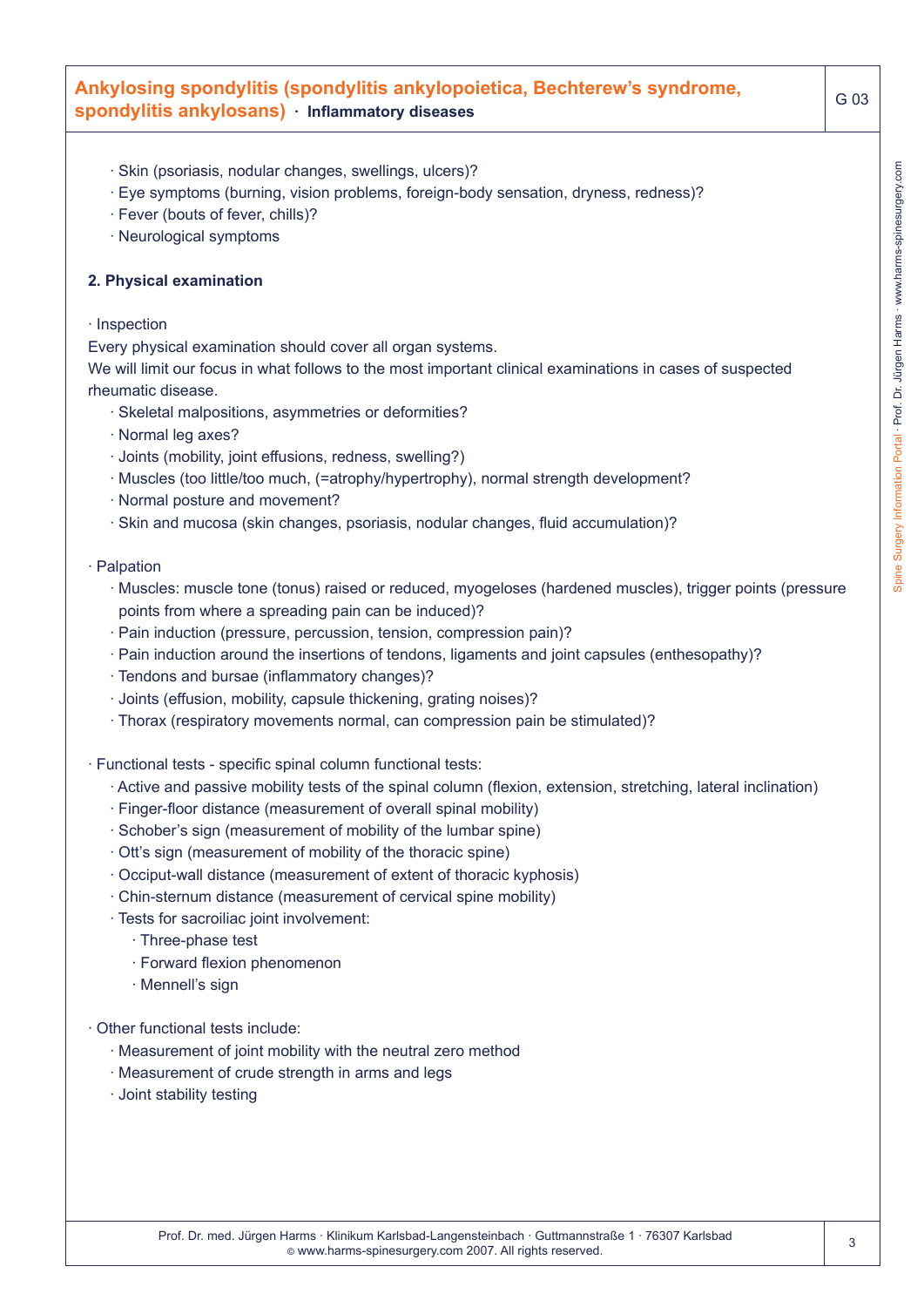## **Ankylosing spondylitis (spondylitis ankylopoietica, Bechterew's syndrome, spondylitis ankylosans) · Inflammatory diseases**

- · Skin (psoriasis, nodular changes, swellings, ulcers)?
- · Eye symptoms (burning, vision problems, foreign-body sensation, dryness, redness)?
- · Fever (bouts of fever, chills)?
- · Neurological symptoms

#### **2. Physical examination**

#### · Inspection

Every physical examination should cover all organ systems.

We will limit our focus in what follows to the most important clinical examinations in cases of suspected rheumatic disease.

- · Skeletal malpositions, asymmetries or deformities?
- · Normal leg axes?
- · Joints (mobility, joint effusions, redness, swelling?)
- · Muscles (too little/too much, (=atrophy/hypertrophy), normal strength development?
- · Normal posture and movement?
- · Skin and mucosa (skin changes, psoriasis, nodular changes, fluid accumulation)?

#### · Palpation

- · Muscles: muscle tone (tonus) raised or reduced, myogeloses (hardened muscles), trigger points (pressure points from where a spreading pain can be induced)?
- · Pain induction (pressure, percussion, tension, compression pain)?
- · Pain induction around the insertions of tendons, ligaments and joint capsules (enthesopathy)?
- · Tendons and bursae (inflammatory changes)?
- · Joints (effusion, mobility, capsule thickening, grating noises)?
- · Thorax (respiratory movements normal, can compression pain be stimulated)?
- · Functional tests specific spinal column functional tests:
	- · Active and passive mobility tests of the spinal column (flexion, extension, stretching, lateral inclination)
	- · Finger-floor distance (measurement of overall spinal mobility)
	- · Schober's sign (measurement of mobility of the lumbar spine)
	- · Ott's sign (measurement of mobility of the thoracic spine)
	- · Occiput-wall distance (measurement of extent of thoracic kyphosis)
	- · Chin-sternum distance (measurement of cervical spine mobility)
	- · Tests for sacroiliac joint involvement:
		- · Three-phase test
		- · Forward flexion phenomenon
		- · Mennell's sign
- · Other functional tests include:
	- · Measurement of joint mobility with the neutral zero method
	- · Measurement of crude strength in arms and legs
	- · Joint stability testing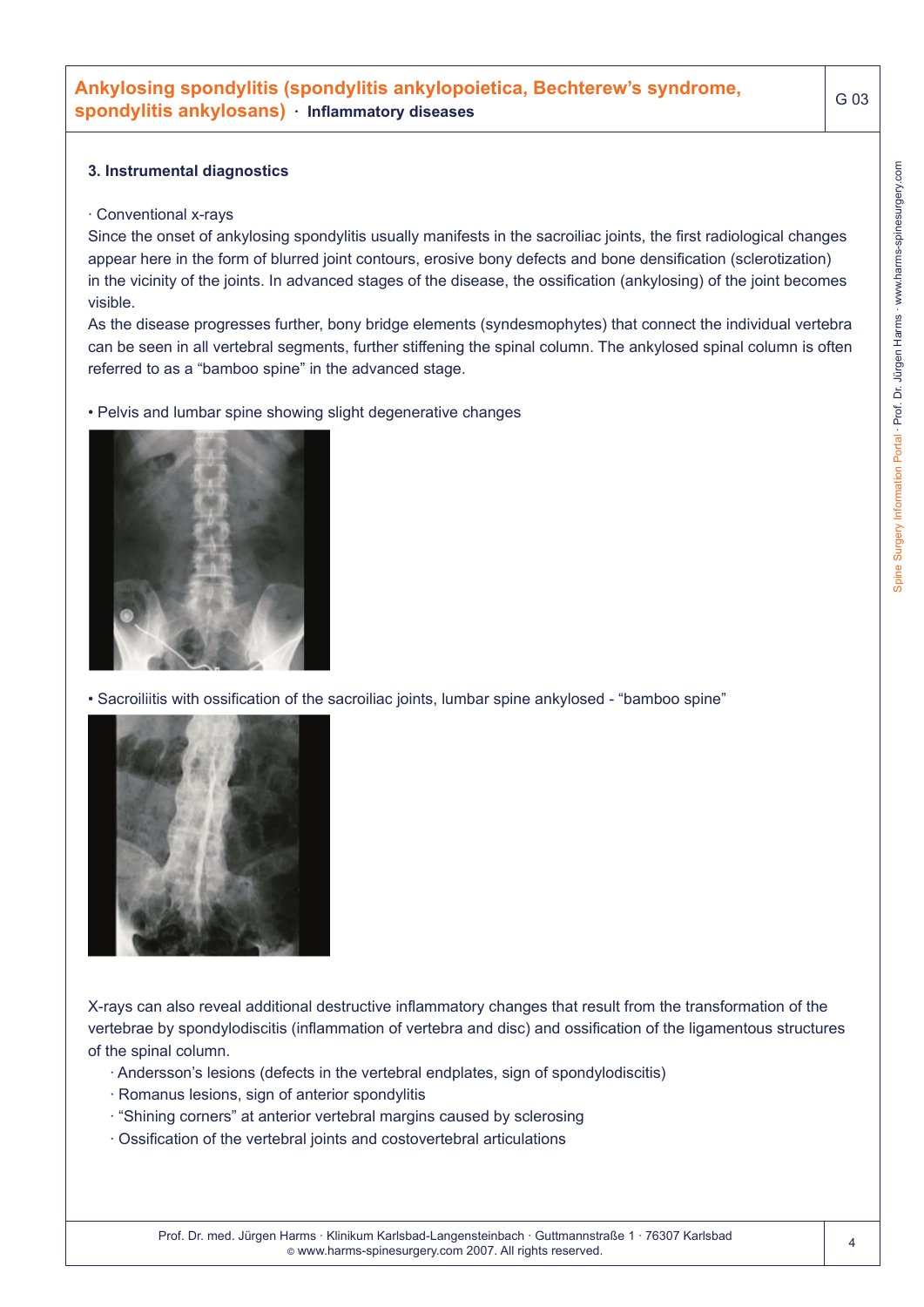#### **3. Instrumental diagnostics**

#### · Conventional x-rays

Since the onset of ankylosing spondylitis usually manifests in the sacroiliac joints, the first radiological changes appear here in the form of blurred joint contours, erosive bony defects and bone densification (sclerotization) in the vicinity of the joints. In advanced stages of the disease, the ossification (ankylosing) of the joint becomes visible.

As the disease progresses further, bony bridge elements (syndesmophytes) that connect the individual vertebra can be seen in all vertebral segments, further stiffening the spinal column. The ankylosed spinal column is often referred to as a "bamboo spine" in the advanced stage.

• Pelvis and lumbar spine showing slight degenerative changes



• Sacroiliitis with ossification of the sacroiliac joints, lumbar spine ankylosed - "bamboo spine"



X-rays can also reveal additional destructive inflammatory changes that result from the transformation of the vertebrae by spondylodiscitis (inflammation of vertebra and disc) and ossification of the ligamentous structures of the spinal column.

- · Andersson's lesions (defects in the vertebral endplates, sign of spondylodiscitis)
- · Romanus lesions, sign of anterior spondylitis
- · "Shining corners" at anterior vertebral margins caused by sclerosing
- · Ossification of the vertebral joints and costovertebral articulations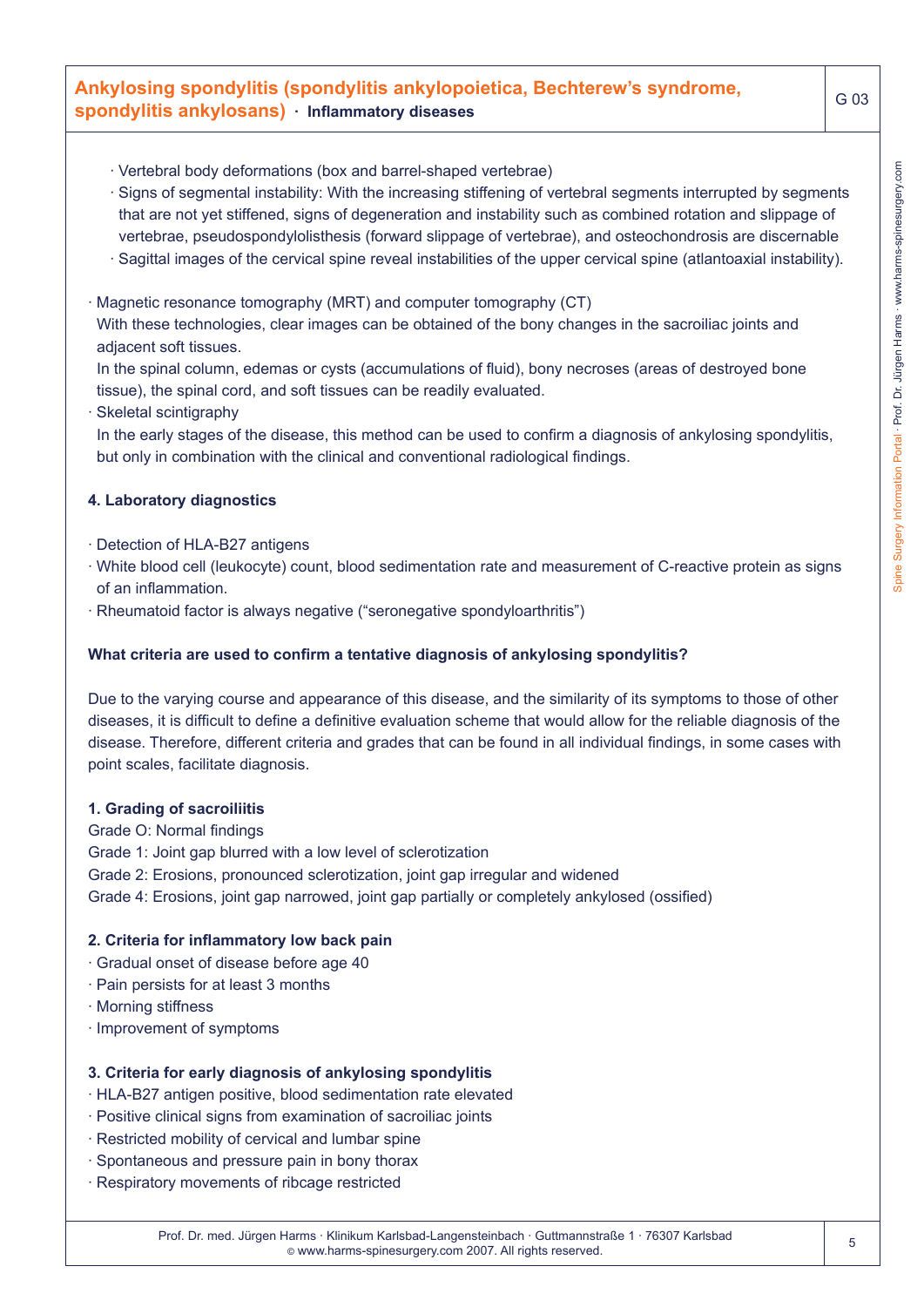# **Ankylosing spondylitis (spondylitis ankylopoietica, Bechterew's syndrome, spondylitis ankylosans) · Inflammatory diseases**

- · Vertebral body deformations (box and barrel-shaped vertebrae)
- · Signs of segmental instability: With the increasing stiffening of vertebral segments interrupted by segments that are not yet stiffened, signs of degeneration and instability such as combined rotation and slippage of vertebrae, pseudospondylolisthesis (forward slippage of vertebrae), and osteochondrosis are discernable
- · Sagittal images of the cervical spine reveal instabilities of the upper cervical spine (atlantoaxial instability).
- · Magnetic resonance tomography (MRT) and computer tomography (CT) With these technologies, clear images can be obtained of the bony changes in the sacroiliac joints and adjacent soft tissues.

In the spinal column, edemas or cysts (accumulations of fluid), bony necroses (areas of destroyed bone tissue), the spinal cord, and soft tissues can be readily evaluated.

· Skeletal scintigraphy

In the early stages of the disease, this method can be used to confirm a diagnosis of ankylosing spondylitis, but only in combination with the clinical and conventional radiological findings.

#### **4. Laboratory diagnostics**

- · Detection of HLA-B27 antigens
- · White blood cell (leukocyte) count, blood sedimentation rate and measurement of C-reactive protein as signs of an inflammation.
- · Rheumatoid factor is always negative ("seronegative spondyloarthritis")

#### **What criteria are used to confirm a tentative diagnosis of ankylosing spondylitis?**

Due to the varying course and appearance of this disease, and the similarity of its symptoms to those of other diseases, it is difficult to define a definitive evaluation scheme that would allow for the reliable diagnosis of the disease. Therefore, different criteria and grades that can be found in all individual findings, in some cases with point scales, facilitate diagnosis.

#### **1. Grading of sacroiliitis**

Grade O: Normal findings Grade 1: Joint gap blurred with a low level of sclerotization Grade 2: Erosions, pronounced sclerotization, joint gap irregular and widened Grade 4: Erosions, joint gap narrowed, joint gap partially or completely ankylosed (ossified)

#### **2. Criteria for inflammatory low back pain**

- · Gradual onset of disease before age 40
- · Pain persists for at least 3 months
- · Morning stiffness
- · Improvement of symptoms

#### **3. Criteria for early diagnosis of ankylosing spondylitis**

- · HLA-B27 antigen positive, blood sedimentation rate elevated
- · Positive clinical signs from examination of sacroiliac joints
- · Restricted mobility of cervical and lumbar spine
- · Spontaneous and pressure pain in bony thorax
- · Respiratory movements of ribcage restricted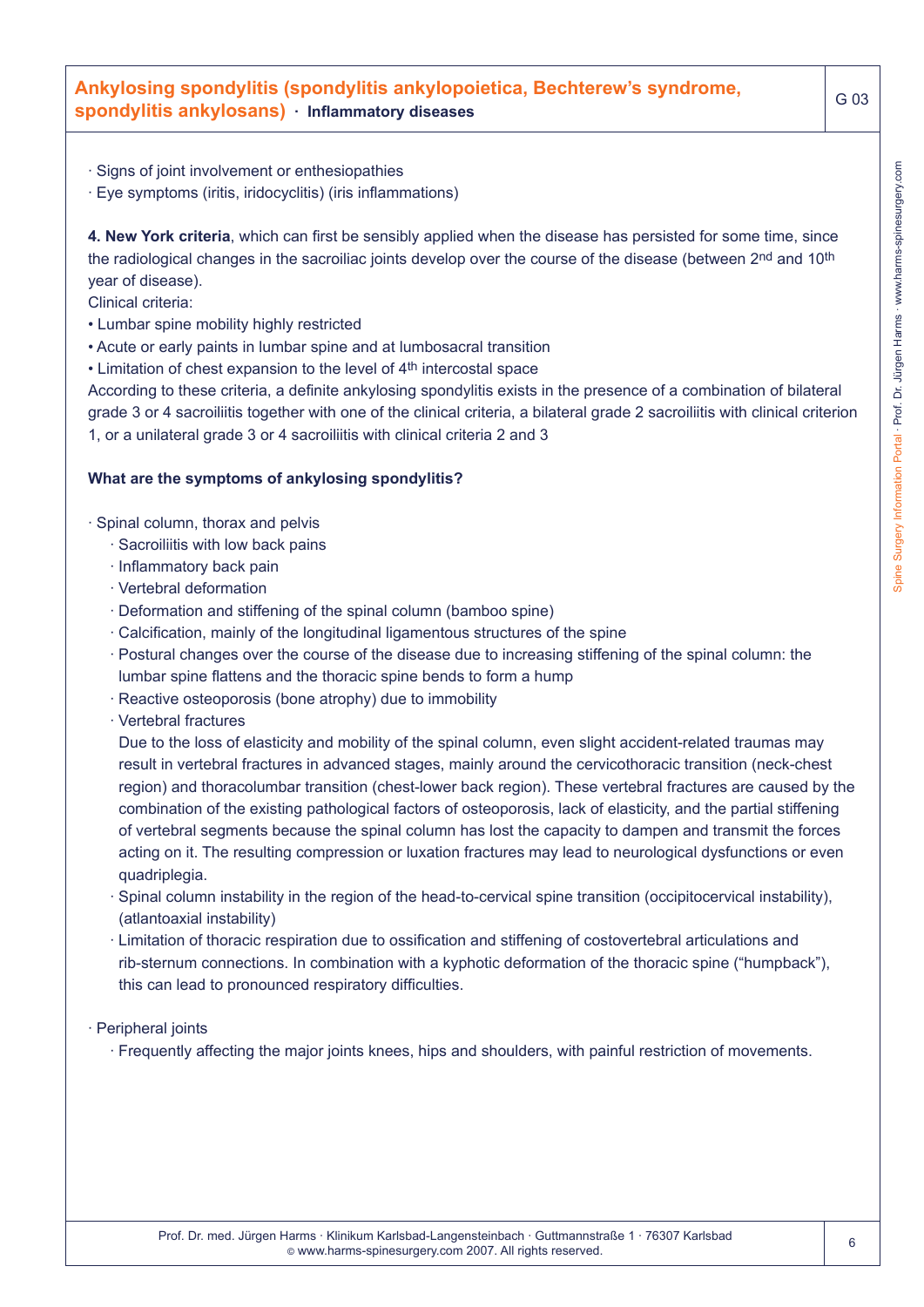## **Ankylosing spondylitis (spondylitis ankylopoietica, Bechterew's syndrome, spondylitis ankylosans) · Inflammatory diseases**

- · Signs of joint involvement or enthesiopathies
- · Eye symptoms (iritis, iridocyclitis) (iris inflammations)

**4. New York criteria**, which can first be sensibly applied when the disease has persisted for some time, since the radiological changes in the sacroiliac joints develop over the course of the disease (between 2nd and 10th year of disease).

Clinical criteria:

- Lumbar spine mobility highly restricted
- Acute or early paints in lumbar spine and at lumbosacral transition
- Limitation of chest expansion to the level of 4<sup>th</sup> intercostal space

According to these criteria, a definite ankylosing spondylitis exists in the presence of a combination of bilateral grade 3 or 4 sacroiliitis together with one of the clinical criteria, a bilateral grade 2 sacroiliitis with clinical criterion 1, or a unilateral grade 3 or 4 sacroiliitis with clinical criteria 2 and 3

#### **What are the symptoms of ankylosing spondylitis?**

· Spinal column, thorax and pelvis

- · Sacroiliitis with low back pains
- · Inflammatory back pain
- · Vertebral deformation
- · Deformation and stiffening of the spinal column (bamboo spine)
- · Calcification, mainly of the longitudinal ligamentous structures of the spine
- · Postural changes over the course of the disease due to increasing stiffening of the spinal column: the lumbar spine flattens and the thoracic spine bends to form a hump
- · Reactive osteoporosis (bone atrophy) due to immobility
- · Vertebral fractures

Due to the loss of elasticity and mobility of the spinal column, even slight accident-related traumas may result in vertebral fractures in advanced stages, mainly around the cervicothoracic transition (neck-chest region) and thoracolumbar transition (chest-lower back region). These vertebral fractures are caused by the combination of the existing pathological factors of osteoporosis, lack of elasticity, and the partial stiffening of vertebral segments because the spinal column has lost the capacity to dampen and transmit the forces acting on it. The resulting compression or luxation fractures may lead to neurological dysfunctions or even quadriplegia.

- · Spinal column instability in the region of the head-to-cervical spine transition (occipitocervical instability), (atlantoaxial instability)
- · Limitation of thoracic respiration due to ossification and stiffening of costovertebral articulations and rib-sternum connections. In combination with a kyphotic deformation of the thoracic spine ("humpback"), this can lead to pronounced respiratory difficulties.

· Peripheral joints

· Frequently affecting the major joints knees, hips and shoulders, with painful restriction of movements.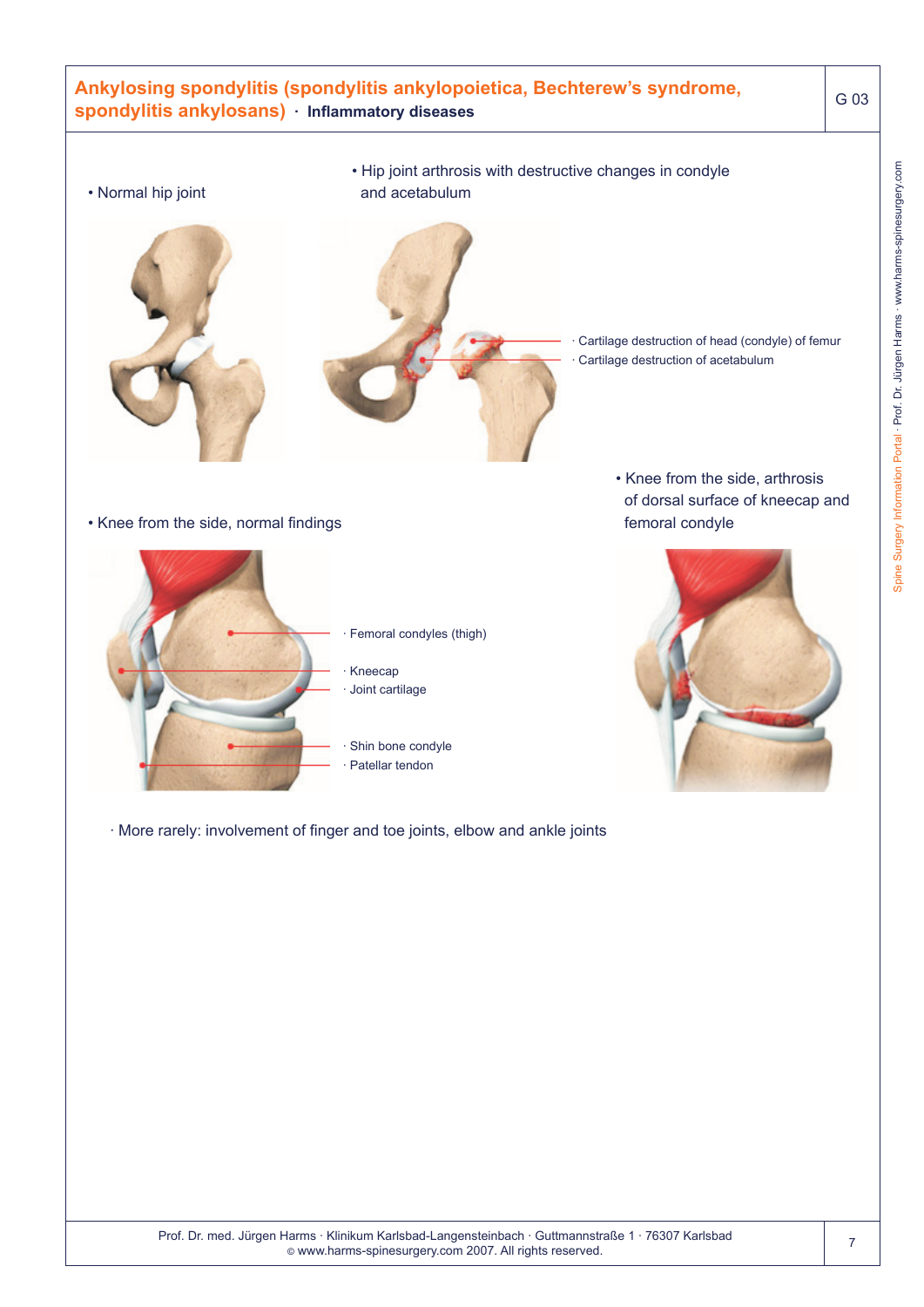# **Ankylosing spondylitis (spondylitis ankylopoietica, Bechterew's syndrome, spondylitis ankylosans) · Inflammatory diseases** G 03 • Normal hip joint • Hip joint arthrosis with destructive changes in condyle and acetabulum Cartilage destruction of head (condyle) of femur Cartilage destruction of acetabulum • Knee from the side, normal findings Femoral condyles (thigh) · Kneecap Joint cartilage Shin bone condyle Patellar tendon • Knee from the side, arthrosis of dorsal surface of kneecap and femoral condyle

· More rarely: involvement of finger and toe joints, elbow and ankle joints

Spine Surgery Information Portal · Prof. Dr. Jürgen Harms · www.harms-spinesurgery.com

Spine Surgery Information Portal - Prof. Dr. Jürgen Harms - www.harms-spinesurgery.com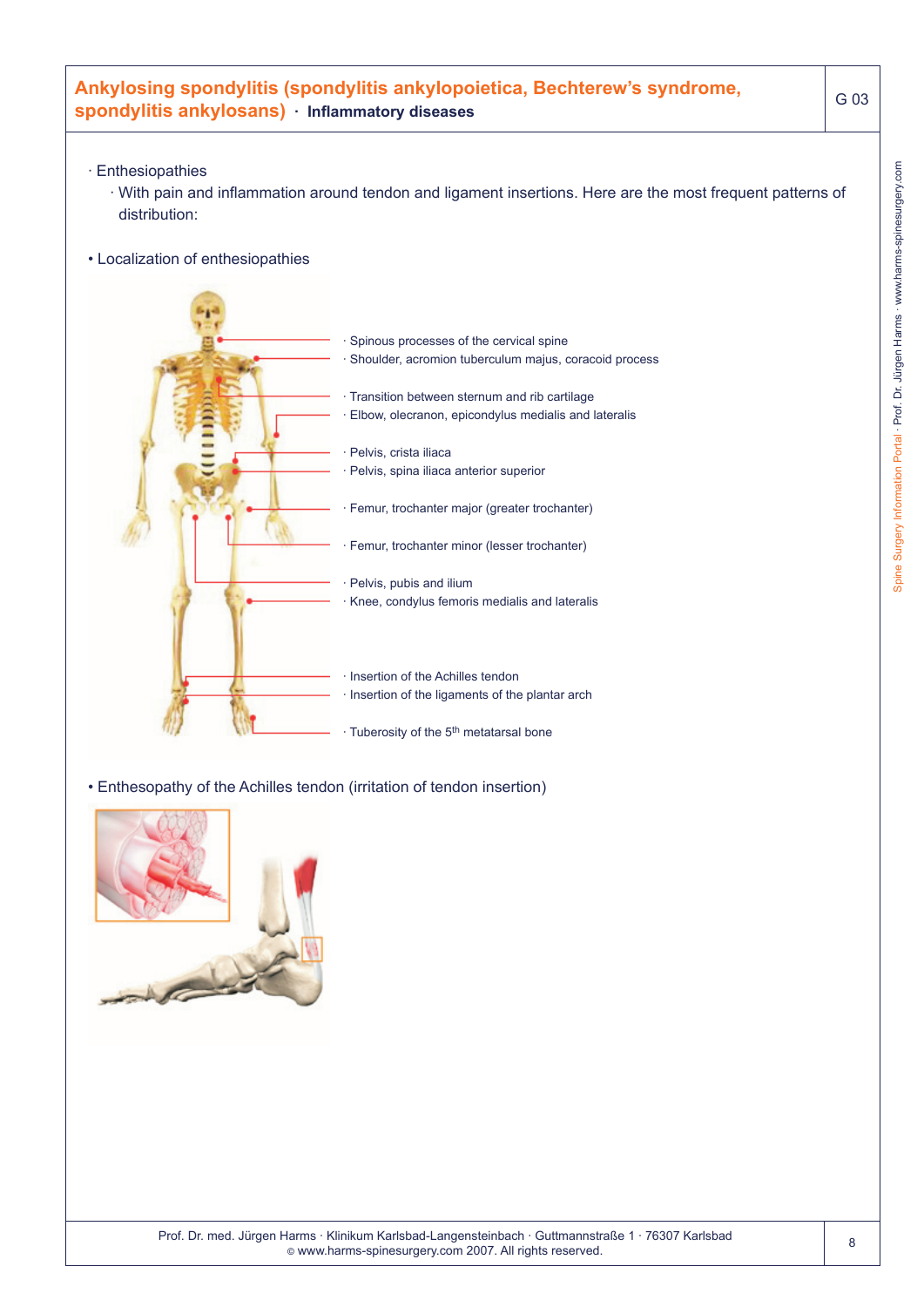# **Ankylosing spondylitis (spondylitis ankylopoietica, Bechterew's syndrome, spondylitis ankylosans) · Inflammatory diseases**

- · Enthesiopathies
	- · With pain and inflammation around tendon and ligament insertions. Here are the most frequent patterns of distribution:
- Localization of enthesiopathies



• Enthesopathy of the Achilles tendon (irritation of tendon insertion)

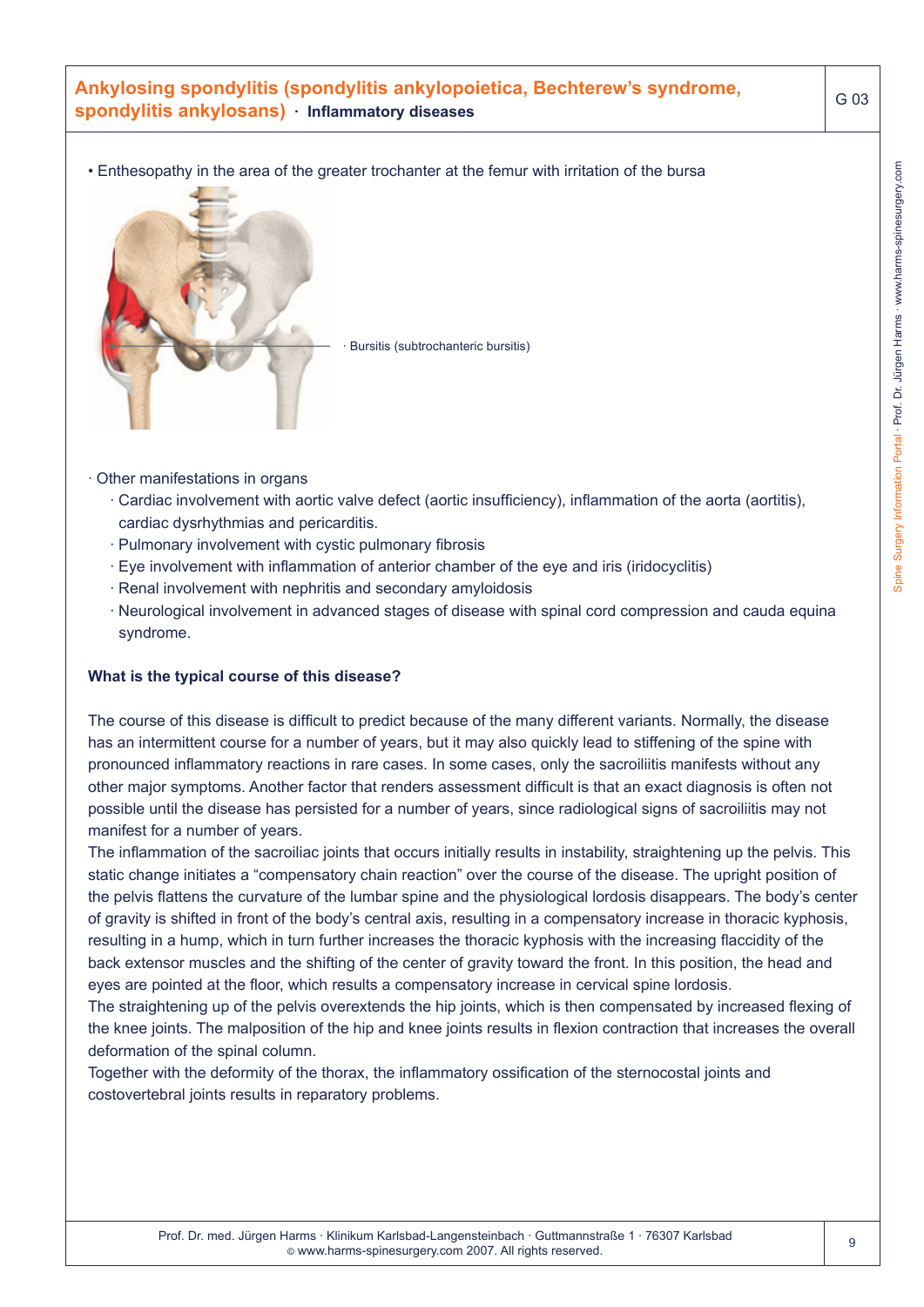# **Ankylosing spondylitis (spondylitis ankylopoietica, Bechterew's syndrome, spondylitis ankylosans) · Inflammatory diseases**

• Enthesopathy in the area of the greater trochanter at the femur with irritation of the bursa



Bursitis (subtrochanteric bursitis)

- · Other manifestations in organs
	- · Cardiac involvement with aortic valve defect (aortic insufficiency), inflammation of the aorta (aortitis), cardiac dysrhythmias and pericarditis.
	- · Pulmonary involvement with cystic pulmonary fibrosis
	- · Eye involvement with inflammation of anterior chamber of the eye and iris (iridocyclitis)
	- · Renal involvement with nephritis and secondary amyloidosis
	- · Neurological involvement in advanced stages of disease with spinal cord compression and cauda equina syndrome.

#### **What is the typical course of this disease?**

The course of this disease is difficult to predict because of the many different variants. Normally, the disease has an intermittent course for a number of years, but it may also quickly lead to stiffening of the spine with pronounced inflammatory reactions in rare cases. In some cases, only the sacroiliitis manifests without any other major symptoms. Another factor that renders assessment difficult is that an exact diagnosis is often not possible until the disease has persisted for a number of years, since radiological signs of sacroiliitis may not manifest for a number of years.

The inflammation of the sacroiliac joints that occurs initially results in instability, straightening up the pelvis. This static change initiates a "compensatory chain reaction" over the course of the disease. The upright position of the pelvis flattens the curvature of the lumbar spine and the physiological lordosis disappears. The body's center of gravity is shifted in front of the body's central axis, resulting in a compensatory increase in thoracic kyphosis, resulting in a hump, which in turn further increases the thoracic kyphosis with the increasing flaccidity of the back extensor muscles and the shifting of the center of gravity toward the front. In this position, the head and eyes are pointed at the floor, which results a compensatory increase in cervical spine lordosis.

The straightening up of the pelvis overextends the hip joints, which is then compensated by increased flexing of the knee joints. The malposition of the hip and knee joints results in flexion contraction that increases the overall deformation of the spinal column.

Together with the deformity of the thorax, the inflammatory ossification of the sternocostal joints and costovertebral joints results in reparatory problems.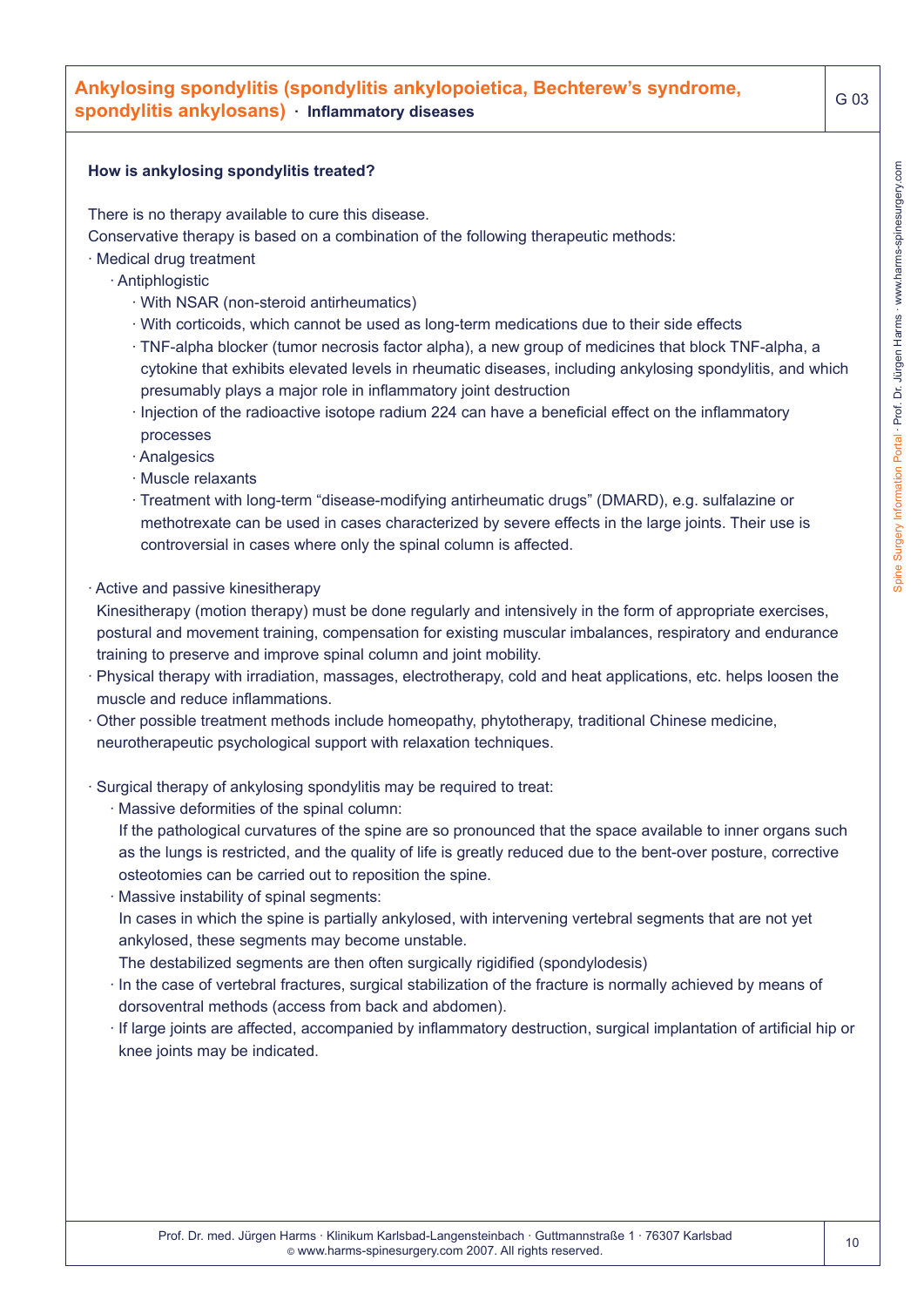# **Ankylosing spondylitis (spondylitis ankylopoietica, Bechterew's syndrome, spondylitis ankylosans) · Inflammatory diseases**

#### **How is ankylosing spondylitis treated?**

There is no therapy available to cure this disease.

Conservative therapy is based on a combination of the following therapeutic methods:

- · Medical drug treatment
	- · Antiphlogistic
		- · With NSAR (non-steroid antirheumatics)
		- · With corticoids, which cannot be used as long-term medications due to their side effects
		- · TNF-alpha blocker (tumor necrosis factor alpha), a new group of medicines that block TNF-alpha, a cytokine that exhibits elevated levels in rheumatic diseases, including ankylosing spondylitis, and which presumably plays a major role in inflammatory joint destruction
		- · Injection of the radioactive isotope radium 224 can have a beneficial effect on the inflammatory processes
		- · Analgesics
		- · Muscle relaxants
		- · Treatment with long-term "disease-modifying antirheumatic drugs" (DMARD), e.g. sulfalazine or methotrexate can be used in cases characterized by severe effects in the large joints. Their use is controversial in cases where only the spinal column is affected.
- · Active and passive kinesitherapy
- Kinesitherapy (motion therapy) must be done regularly and intensively in the form of appropriate exercises, postural and movement training, compensation for existing muscular imbalances, respiratory and endurance training to preserve and improve spinal column and joint mobility.
- · Physical therapy with irradiation, massages, electrotherapy, cold and heat applications, etc. helps loosen the muscle and reduce inflammations.
- · Other possible treatment methods include homeopathy, phytotherapy, traditional Chinese medicine, neurotherapeutic psychological support with relaxation techniques.
- · Surgical therapy of ankylosing spondylitis may be required to treat:
	- · Massive deformities of the spinal column:
	- If the pathological curvatures of the spine are so pronounced that the space available to inner organs such as the lungs is restricted, and the quality of life is greatly reduced due to the bent-over posture, corrective osteotomies can be carried out to reposition the spine.
	- · Massive instability of spinal segments:
	- In cases in which the spine is partially ankylosed, with intervening vertebral segments that are not yet ankylosed, these segments may become unstable.
	- The destabilized segments are then often surgically rigidified (spondylodesis)
	- · In the case of vertebral fractures, surgical stabilization of the fracture is normally achieved by means of dorsoventral methods (access from back and abdomen).
	- · If large joints are affected, accompanied by inflammatory destruction, surgical implantation of artificial hip or knee joints may be indicated.